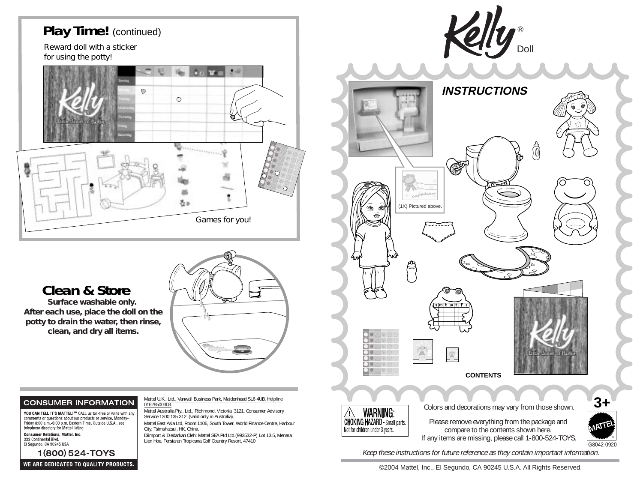

Mattel U.K., Ltd., Vanwall Business Park, Maidenhead SL6 4UB. Helpline

Mattel Australia Pty., Ltd., Richmond, Victoria 3121. Consumer Advisory

Mattel East Asia Ltd, Room 1106, South Tower, World Finance Centre, Harbour

Diimport & Diedarkan Oleh: Mattel SEA Ptd Ltd.(993532-P) Lot 13.5, Menara

Service 1300 135 312 (valid only in Australia).

Lien Hoe, Persiaran Tropicana Golf Country Resort, 47410

01628500303.

City, Tsimshatsui, HK, China.

### **Clean & Store**

*Surface washable only. After each use, place the doll on the potty to drain the water, then rinse, clean, and dry all items.*

#### **CONSUMER INFORMATION**

YOU CAN TELL IT'S MATTEL!™ CALL us toll-free or write with any comments or questions about our products or service. Monday-<br>Friday 8:00 a.m.-6:00 p.m. Eastern Time. Outside U.S.A., see<br>telephone directory for Mattel listing.

**Consumer Relations, Mattel, Inc.** 333 Continental Blvd. El Segundo, CA 90245 USA

1(800) 524-TOYS

```
®DollINSTRUCTIONS⋒
                        (1X) Pictured above.s m it iwitifis
\bullet 000 00
 \bigcirc \bigcirc \circ \bigcirc \bigcirc○○○第☆☆
\bigcirc \bigcirc \Leftrightarrow \bigcirc \bigcirc\mathbb{Z}^{\mathbb{N}}Common
\bigcirc \bigcirc \Leftrightarrow \bigcirc \bigcircO O O \circ O O\bigcircO\heartsuit����
                                                                     CONTENTS©2004 Mattel, Inc. All Rights Reserved. Tous droits réservés.
```
Colors and decorations may vary from those shown.

Please remove everything from the package and compare to the contents shown here. If any items are missing, please call 1-800-524-TOYS.



Keep these instructions for future reference as they contain important information.

**WARNING** 

**CHOKING HAZARD** Small parts. Not for children under 3 years.

©2004 Mattel, Inc., El Segundo, CA 90245 U.S.A. All Rights Reserved.

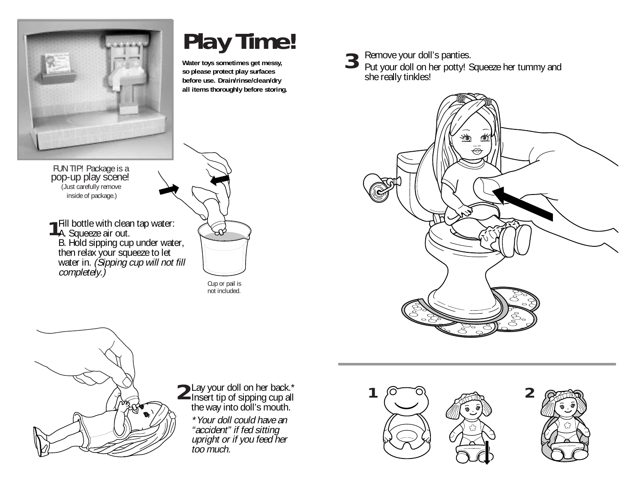

# **Play Time! Water toys sometimes get messy,**

**so please protect play surfaces before use. Drain/rinse/clean/dry all items thoroughly before storing.** **3**

Remove your doll's panties.

Put your doll on her potty! Squeeze her tummy and she really tinkles!



FUN TIP! Package is a pop-up play scene! (Just carefully remove inside of package.)

**1** Fill bottle with clea<br>**1** A. Squeeze air out. Fill bottle with clean tap water: B. Hold sipping cup under water, then relax your squeeze to let water in. (Sipping cup will not fill completely.)



Cup or pail is not included.



Insert tip of sipping cup all the way into doll's mouth.

\*Your doll could have an "accident" if fed sitting upright or if you feed her too much.



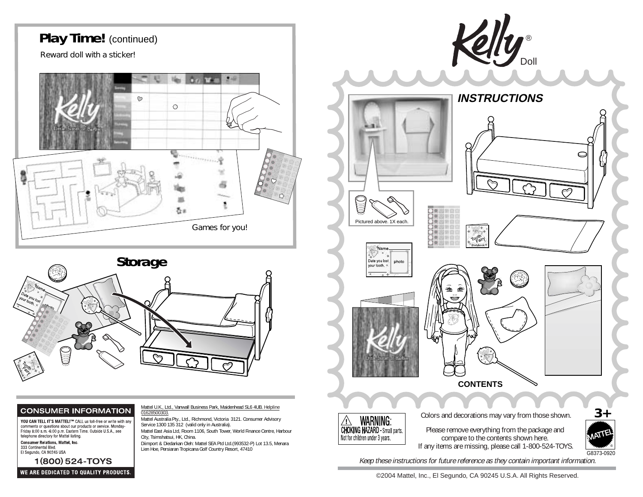

#### **CONSUMER INFORMATION**

YOU CAN TELL IT'S MATTEL!™ CALL us toll-free or write with any Finday 8:00 a.m.-6:00 p.m. Eastern Time. Outside U.S.A., see<br>Friday 8:00 a.m.-6:00 p.m. Eastern Time. Outside U.S.A., see<br>telephone directory for Mattel listing.

#### **Consumer Relations, Mattel, Inc.** 333 Continental Blvd.

El Segundo, CA 90245 USA

1(800) 524-TOYS WE ARE DEDICATED TO QUALITY PRODUCTS. Mattel U.K., Ltd., Vanwall Business Park, Maidenhead SL6 4UB. Helpline 01628500303

Mattel Australia Pty., Ltd., Richmond, Victoria 3121. Consumer Advisory Service 1300 135 312 (valid only in Australia).

Mattel East Asia Ltd, Room 1106, South Tower, World Finance Centre, Harbour City, Tsimshatsui, HK, China.

Diimport & Diedarkan Oleh: Mattel SEA Ptd Ltd.(993532-P) Lot 13.5, Menara Lien Hoe, Persiaran Tropicana Golf Country Resort, 47410



©2004 Mattel, Inc., El Segundo, CA 90245 U.S.A. All Rights Reserved.